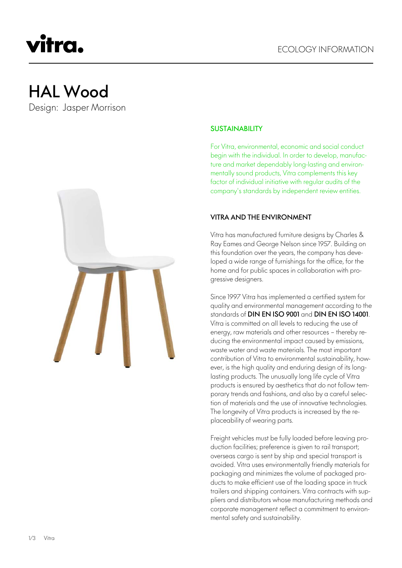# HAL Wood

vitra.

Design: Jasper Morrison



## **SUSTAINABILITY**

For Vitra, environmental, economic and social conduct begin with the individual. In order to develop, manufacture and market dependably long-lasting and environmentally sound products, Vitra complements this key factor of individual initiative with regular audits of the company's standards by independent review entities.

## VITRA AND THE ENVIRONMENT

Vitra has manufactured furniture designs by Charles & Ray Eames and George Nelson since 1957. Building on this foundation over the years, the company has developed a wide range of furnishings for the office, for the home and for public spaces in collaboration with progressive designers.

Since 1997 Vitra has implemented a certified system for quality and environmental management according to the standards of DIN EN ISO 9001 and DIN EN ISO 14001. Vitra is committed on all levels to reducing the use of energy, raw materials and other resources – thereby reducing the environmental impact caused by emissions, waste water and waste materials. The most important contribution of Vitra to environmental sustainability, however, is the high quality and enduring design of its longlasting products. The unusually long life cycle of Vitra products is ensured by aesthetics that do not follow temporary trends and fashions, and also by a careful selection of materials and the use of innovative technologies. The longevity of Vitra products is increased by the replaceability of wearing parts.

Freight vehicles must be fully loaded before leaving production facilities; preference is given to rail transport; overseas cargo is sent by ship and special transport is avoided. Vitra uses environmentally friendly materials for packaging and minimizes the volume of packaged products to make efficient use of the loading space in truck trailers and shipping containers. Vitra contracts with suppliers and distributors whose manufacturing methods and corporate management reflect a commitment to environmental safety and sustainability.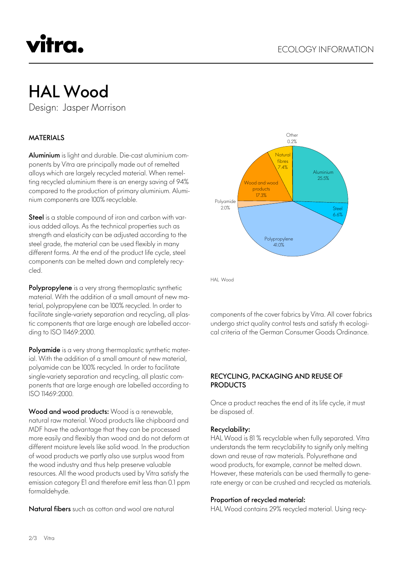# vitra.

# HAL Wood

Design: Jasper Morrison

# MATERIALS

Aluminium is light and durable. Die-cast aluminium components by Vitra are principally made out of remelted alloys which are largely recycled material. When remelting recycled aluminium there is an energy saving of 94% compared to the production of primary aluminium. Aluminium components are 100% recyclable.

Steel is a stable compound of iron and carbon with various added alloys. As the technical properties such as strength and elasticity can be adjusted according to the steel grade, the material can be used flexibly in many different forms. At the end of the product life cycle, steel components can be melted down and completely recycled.

Polypropylene is a very strong thermoplastic synthetic material. With the addition of a small amount of new material, polypropylene can be 100% recycled. In order to facilitate single-variety separation and recycling, all plastic components that are large enough are labelled according to ISO 11469:2000.

Polyamide is a very strong thermoplastic synthetic material. With the addition of a small amount of new material, polyamide can be 100% recycled. In order to facilitate single-variety separation and recycling, all plastic components that are large enough are labelled according to ISO 11469:2000.

Wood and wood products: Wood is a renewable, natural raw material. Wood products like chipboard and MDF have the advantage that they can be processed more easily and flexibly than wood and do not deform at different moisture levels like solid wood. In the production of wood products we partly also use surplus wood from the wood industry and thus help preserve valuable resources. All the wood products used by Vitra satisfy the emission category E1 and therefore emit less than 0.1 ppm formaldehyde.

Natural fibers such as cotton and wool are natural



HAL Wood

components of the cover fabrics by Vitra. All cover fabrics undergo strict quality control tests and satisfy th ecological criteria of the German Consumer Goods Ordinance.

## RECYCLING, PACKAGING AND REUSE OF **PRODUCTS**

Once a product reaches the end of its life cycle, it must be disposed of.

### Recyclability:

HAL Wood is 81 % recyclable when fully separated. Vitra understands the term recyclability to signify only melting down and reuse of raw materials. Polyurethane and wood products, for example, cannot be melted down. However, these materials can be used thermally to generate energy or can be crushed and recycled as materials.

### Proportion of recycled material:

HAL Wood contains 29% recycled material. Using recy-